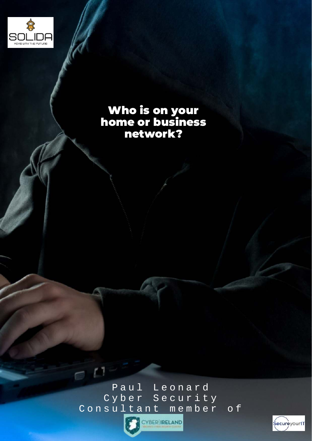

#### Who is on your home or business network?

Paul Leonard Cyber Security Consultant member of



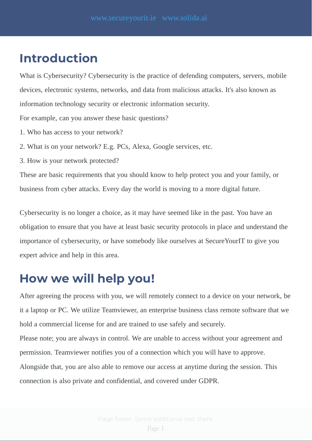# **Introduction**

What is Cybersecurity? Cybersecurity is the practice of defending computers, servers, mobile devices, electronic systems, networks, and data from malicious attacks. It's also known as information technology security or electronic information security.

For example, can you answer these basic questions?

- 1. Who has access to your network?
- 2. What is on your network? E.g. PCs, Alexa, Google services, etc.
- 3. How is your network protected?

These are basic requirements that you should know to help protect you and your family, or business from cyber attacks. Every day the world is moving to a more digital future.

Cybersecurity is no longer a choice, as it may have seemed like in the past. You have an obligation to ensure that you have at least basic security protocols in place and understand the importance of cybersecurity, or have somebody like ourselves at SecureYourIT to give you expert advice and help in this area.

### **How we will help you!**

After agreeing the process with you, we will remotely connect to a device on your network, be it a laptop or PC. We utilize Teamviewer, an enterprise business class remote software that we hold a commercial license for and are trained to use safely and securely.

Please note; you are always in control. We are unable to access without your agreement and permission. Teamviewer notifies you of a connection which you will have to approve.

Alongside that, you are also able to remove our access at anytime during the session. This connection is also private and confidential, and covered under GDPR.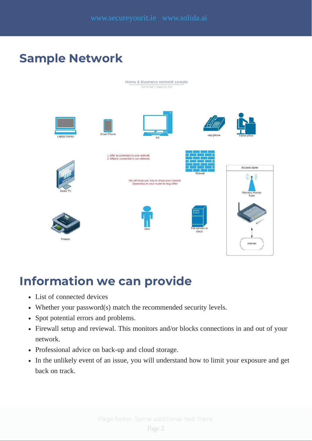## **Sample Network**



### **Information we can provide**

- List of connected devices
- Whether your password(s) match the recommended security levels.
- Spot potential errors and problems.
- Firewall setup and reviewal. This monitors and/or blocks connections in and out of your network.
- Professional advice on back-up and cloud storage.
- In the unlikely event of an issue, you will understand how to limit your exposure and get back on track.